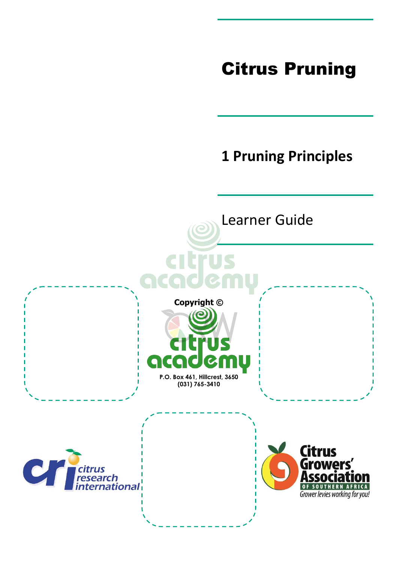# Citrus Pruning

## **1 Pruning Principles**

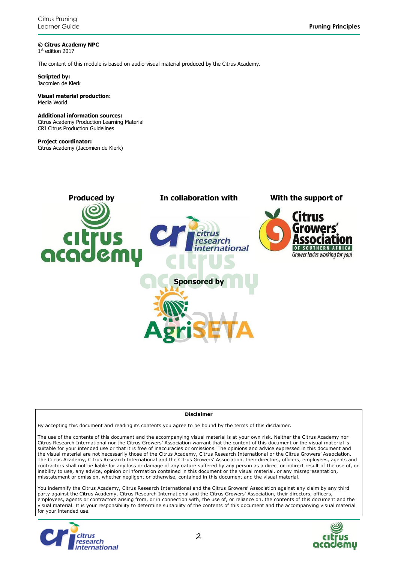**© Citrus Academy NPC** 1 st edition 2017

The content of this module is based on audio-visual material produced by the Citrus Academy.

**Scripted by:** Jacomien de Klerk

#### **Visual material production:** Media World

#### **Additional information sources:**

Citrus Academy Production Learning Material CRI Citrus Production Guidelines

#### **Project coordinator:**

Citrus Academy (Jacomien de Klerk)



#### **Disclaimer**

By accepting this document and reading its contents you agree to be bound by the terms of this disclaimer.

The use of the contents of this document and the accompanying visual material is at your own risk. Neither the Citrus Academy nor Citrus Research International nor the Citrus Growers' Association warrant that the content of this document or the visual material is suitable for your intended use or that it is free of inaccuracies or omissions. The opinions and advice expressed in this document and the visual material are not necessarily those of the Citrus Academy, Citrus Research International or the Citrus Growers' Association. The Citrus Academy, Citrus Research International and the Citrus Growers' Association, their directors, officers, employees, agents and contractors shall not be liable for any loss or damage of any nature suffered by any person as a direct or indirect result of the use of, or inability to use, any advice, opinion or information contained in this document or the visual material, or any misrepresentation, misstatement or omission, whether negligent or otherwise, contained in this document and the visual material.

You indemnify the Citrus Academy, Citrus Research International and the Citrus Growers' Association against any claim by any third party against the Citrus Academy, Citrus Research International and the Citrus Growers' Association, their directors, officers, employees, agents or contractors arising from, or in connection with, the use of, or reliance on, the contents of this document and the visual material. It is your responsibility to determine suitability of the contents of this document and the accompanying visual material for your intended use.



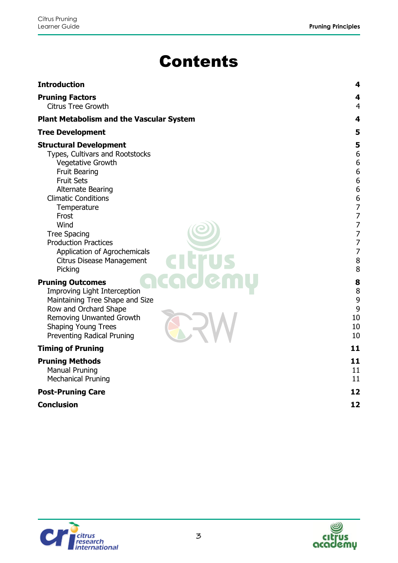# Contents

| <b>Introduction</b>                                                                                                                                                                                                                                                                                                                                               | 4                                                                                                                                        |
|-------------------------------------------------------------------------------------------------------------------------------------------------------------------------------------------------------------------------------------------------------------------------------------------------------------------------------------------------------------------|------------------------------------------------------------------------------------------------------------------------------------------|
| <b>Pruning Factors</b><br><b>Citrus Tree Growth</b>                                                                                                                                                                                                                                                                                                               | 4<br>4                                                                                                                                   |
| <b>Plant Metabolism and the Vascular System</b>                                                                                                                                                                                                                                                                                                                   | 4                                                                                                                                        |
| <b>Tree Development</b>                                                                                                                                                                                                                                                                                                                                           | 5                                                                                                                                        |
| <b>Structural Development</b><br>Types, Cultivars and Rootstocks<br><b>Vegetative Growth</b><br><b>Fruit Bearing</b><br><b>Fruit Sets</b><br><b>Alternate Bearing</b><br><b>Climatic Conditions</b><br>Temperature<br>Frost<br>Wind<br><b>Tree Spacing</b><br><b>Production Practices</b><br>Application of Agrochemicals<br>Citrus Disease Management<br>Picking | 5<br>6<br>6<br>6<br>6<br>6<br>6<br>$\overline{z}$<br>7<br>$\overline{7}$<br>$\overline{7}$<br>$\overline{7}$<br>$\overline{7}$<br>8<br>8 |
| <b>Pruning Outcomes</b><br><b>Improving Light Interception</b><br>Maintaining Tree Shape and Size<br>Row and Orchard Shape<br><b>Removing Unwanted Growth</b><br><b>Shaping Young Trees</b><br>Preventing Radical Pruning                                                                                                                                         | 8<br>8<br>9<br>9<br>10<br>10<br>10                                                                                                       |
| <b>Timing of Pruning</b>                                                                                                                                                                                                                                                                                                                                          | 11                                                                                                                                       |
| <b>Pruning Methods</b><br><b>Manual Pruning</b><br><b>Mechanical Pruning</b>                                                                                                                                                                                                                                                                                      | 11<br>11<br>11                                                                                                                           |
| <b>Post-Pruning Care</b>                                                                                                                                                                                                                                                                                                                                          | 12                                                                                                                                       |
| <b>Conclusion</b>                                                                                                                                                                                                                                                                                                                                                 | 12                                                                                                                                       |



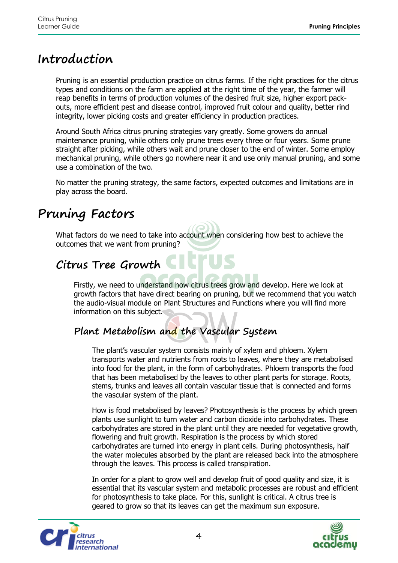### <span id="page-3-0"></span>**Introduction**

Pruning is an essential production practice on citrus farms. If the right practices for the citrus types and conditions on the farm are applied at the right time of the year, the farmer will reap benefits in terms of production volumes of the desired fruit size, higher export packouts, more efficient pest and disease control, improved fruit colour and quality, better rind integrity, lower picking costs and greater efficiency in production practices.

Around South Africa citrus pruning strategies vary greatly. Some growers do annual maintenance pruning, while others only prune trees every three or four years. Some prune straight after picking, while others wait and prune closer to the end of winter. Some employ mechanical pruning, while others go nowhere near it and use only manual pruning, and some use a combination of the two.

No matter the pruning strategy, the same factors, expected outcomes and limitations are in play across the board.

### <span id="page-3-1"></span>**Pruning Factors**

What factors do we need to take into account when considering how best to achieve the outcomes that we want from pruning?

## <span id="page-3-2"></span>**Citrus Tree Growth**

Firstly, we need to understand how citrus trees grow and develop. Here we look at growth factors that have direct bearing on pruning, but we recommend that you watch the audio-visual module on Plant Structures and Functions where you will find more information on this subject.

### <span id="page-3-3"></span>**Plant Metabolism and the Vascular System**

The plant's vascular system consists mainly of xylem and phloem. Xylem transports water and nutrients from roots to leaves, where they are metabolised into food for the plant, in the form of carbohydrates. Phloem transports the food that has been metabolised by the leaves to other plant parts for storage. Roots, stems, trunks and leaves all contain vascular tissue that is connected and forms the vascular system of the plant.

How is food metabolised by leaves? Photosynthesis is the process by which green plants use sunlight to turn water and carbon dioxide into carbohydrates. These carbohydrates are stored in the plant until they are needed for vegetative growth, flowering and fruit growth. Respiration is the process by which stored carbohydrates are turned into energy in plant cells. During photosynthesis, half the water molecules absorbed by the plant are released back into the atmosphere through the leaves. This process is called transpiration.

In order for a plant to grow well and develop fruit of good quality and size, it is essential that its vascular system and metabolic processes are robust and efficient for photosynthesis to take place. For this, sunlight is critical. A citrus tree is geared to grow so that its leaves can get the maximum sun exposure.



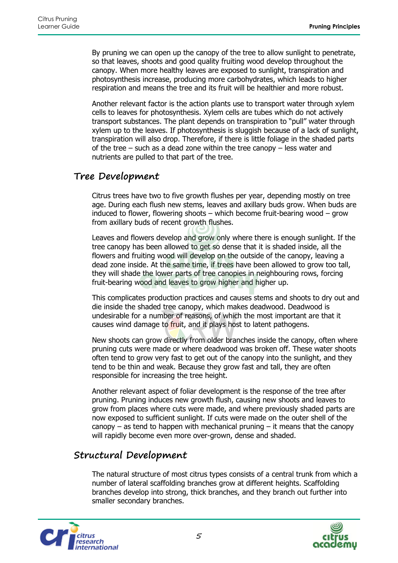By pruning we can open up the canopy of the tree to allow sunlight to penetrate, so that leaves, shoots and good quality fruiting wood develop throughout the canopy. When more healthy leaves are exposed to sunlight, transpiration and photosynthesis increase, producing more carbohydrates, which leads to higher respiration and means the tree and its fruit will be healthier and more robust.

Another relevant factor is the action plants use to transport water through xylem cells to leaves for photosynthesis. Xylem cells are tubes which do not actively transport substances. The plant depends on transpiration to "pull" water through xylem up to the leaves. If photosynthesis is sluggish because of a lack of sunlight, transpiration will also drop. Therefore, if there is little foliage in the shaded parts of the tree – such as a dead zone within the tree canopy – less water and nutrients are pulled to that part of the tree.

#### <span id="page-4-0"></span>**Tree Development**

Citrus trees have two to five growth flushes per year, depending mostly on tree age. During each flush new stems, leaves and axillary buds grow. When buds are induced to flower, flowering shoots – which become fruit-bearing wood – grow from axillary buds of recent growth flushes.

Leaves and flowers develop and grow only where there is enough sunlight. If the tree canopy has been allowed to get so dense that it is shaded inside, all the flowers and fruiting wood will develop on the outside of the canopy, leaving a dead zone inside. At the same time, if trees have been allowed to grow too tall, they will shade the lower parts of tree canopies in neighbouring rows, forcing fruit-bearing wood and leaves to grow higher and higher up.

This complicates production practices and causes stems and shoots to dry out and die inside the shaded tree canopy, which makes deadwood. Deadwood is undesirable for a number of reasons, of which the most important are that it causes wind damage to fruit, and it plays host to latent pathogens.

New shoots can grow directly from older branches inside the canopy, often where pruning cuts were made or where deadwood was broken off. These water shoots often tend to grow very fast to get out of the canopy into the sunlight, and they tend to be thin and weak. Because they grow fast and tall, they are often responsible for increasing the tree height.

Another relevant aspect of foliar development is the response of the tree after pruning. Pruning induces new growth flush, causing new shoots and leaves to grow from places where cuts were made, and where previously shaded parts are now exposed to sufficient sunlight. If cuts were made on the outer shell of the canopy – as tend to happen with mechanical pruning  $-$  it means that the canopy will rapidly become even more over-grown, dense and shaded.

### <span id="page-4-1"></span>**Structural Development**

The natural structure of most citrus types consists of a central trunk from which a number of lateral scaffolding branches grow at different heights. Scaffolding branches develop into strong, thick branches, and they branch out further into smaller secondary branches.



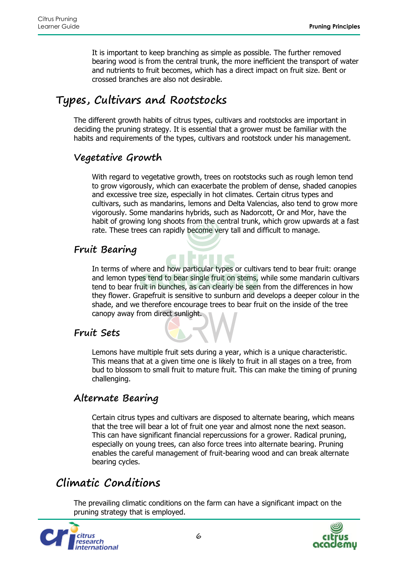It is important to keep branching as simple as possible. The further removed bearing wood is from the central trunk, the more inefficient the transport of water and nutrients to fruit becomes, which has a direct impact on fruit size. Bent or crossed branches are also not desirable.

### <span id="page-5-0"></span>**Types, Cultivars and Rootstocks**

The different growth habits of citrus types, cultivars and rootstocks are important in deciding the pruning strategy. It is essential that a grower must be familiar with the habits and requirements of the types, cultivars and rootstock under his management.

#### <span id="page-5-1"></span>**Vegetative Growth**

With regard to vegetative growth, trees on rootstocks such as rough lemon tend to grow vigorously, which can exacerbate the problem of dense, shaded canopies and excessive tree size, especially in hot climates. Certain citrus types and cultivars, such as mandarins, lemons and Delta Valencias, also tend to grow more vigorously. Some mandarins hybrids, such as Nadorcott, Or and Mor, have the habit of growing long shoots from the central trunk, which grow upwards at a fast rate. These trees can rapidly become very tall and difficult to manage.

### <span id="page-5-2"></span>**Fruit Bearing**

In terms of where and how particular types or cultivars tend to bear fruit: orange and lemon types tend to bear single fruit on stems, while some mandarin cultivars tend to bear fruit in bunches, as can clearly be seen from the differences in how they flower. Grapefruit is sensitive to sunburn and develops a deeper colour in the shade, and we therefore encourage trees to bear fruit on the inside of the tree canopy away from direct sunlight.

#### <span id="page-5-3"></span>**Fruit Sets**

Lemons have multiple fruit sets during a year, which is a unique characteristic. This means that at a given time one is likely to fruit in all stages on a tree, from bud to blossom to small fruit to mature fruit. This can make the timing of pruning challenging.

### <span id="page-5-4"></span>**Alternate Bearing**

Certain citrus types and cultivars are disposed to alternate bearing, which means that the tree will bear a lot of fruit one year and almost none the next season. This can have significant financial repercussions for a grower. Radical pruning, especially on young trees, can also force trees into alternate bearing. Pruning enables the careful management of fruit-bearing wood and can break alternate bearing cycles.

### <span id="page-5-5"></span>**Climatic Conditions**

The prevailing climatic conditions on the farm can have a significant impact on the pruning strategy that is employed.



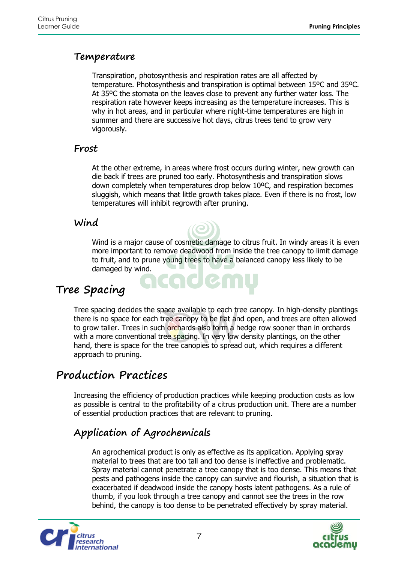#### <span id="page-6-0"></span>**Temperature**

Transpiration, photosynthesis and respiration rates are all affected by temperature. Photosynthesis and transpiration is optimal between 15ºC and 35ºC. At 35ºC the stomata on the leaves close to prevent any further water loss. The respiration rate however keeps increasing as the temperature increases. This is why in hot areas, and in particular where night-time temperatures are high in summer and there are successive hot days, citrus trees tend to grow very vigorously.

#### <span id="page-6-1"></span>**Frost**

At the other extreme, in areas where frost occurs during winter, new growth can die back if trees are pruned too early. Photosynthesis and transpiration slows down completely when temperatures drop below 10ºC, and respiration becomes sluggish, which means that little growth takes place. Even if there is no frost, low temperatures will inhibit regrowth after pruning.

#### <span id="page-6-2"></span>**Wind**

Wind is a major cause of cosmetic damage to citrus fruit. In windy areas it is even more important to remove deadwood from inside the tree canopy to limit damage to fruit, and to prune young trees to have a balanced canopy less likely to be damaged by wind.

### <span id="page-6-3"></span>**Tree Spacing**

Tree spacing decides the space available to each tree canopy. In high-density plantings there is no space for each tree canopy to be flat and open, and trees are often allowed to grow taller. Trees in such orchards also form a hedge row sooner than in orchards with a more conventional tree spacing. In very low density plantings, on the other hand, there is space for the tree canopies to spread out, which requires a different approach to pruning.

JCT

### <span id="page-6-4"></span>**Production Practices**

Increasing the efficiency of production practices while keeping production costs as low as possible is central to the profitability of a citrus production unit. There are a number of essential production practices that are relevant to pruning.

### <span id="page-6-5"></span>**Application of Agrochemicals**

An agrochemical product is only as effective as its application. Applying spray material to trees that are too tall and too dense is ineffective and problematic. Spray material cannot penetrate a tree canopy that is too dense. This means that pests and pathogens inside the canopy can survive and flourish, a situation that is exacerbated if deadwood inside the canopy hosts latent pathogens. As a rule of thumb, if you look through a tree canopy and cannot see the trees in the row behind, the canopy is too dense to be penetrated effectively by spray material.



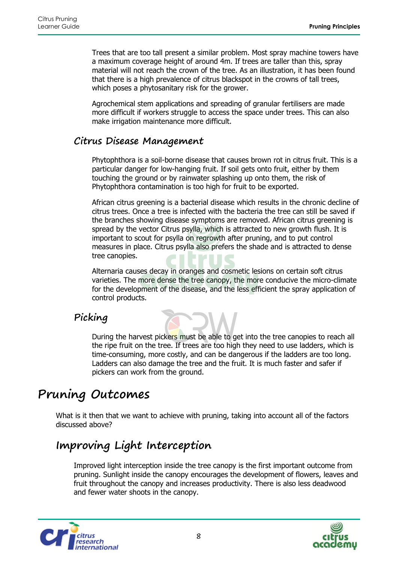Trees that are too tall present a similar problem. Most spray machine towers have a maximum coverage height of around 4m. If trees are taller than this, spray material will not reach the crown of the tree. As an illustration, it has been found that there is a high prevalence of citrus blackspot in the crowns of tall trees, which poses a phytosanitary risk for the grower.

Agrochemical stem applications and spreading of granular fertilisers are made more difficult if workers struggle to access the space under trees. This can also make irrigation maintenance more difficult.

#### <span id="page-7-0"></span>**Citrus Disease Management**

Phytophthora is a soil-borne disease that causes brown rot in citrus fruit. This is a particular danger for low-hanging fruit. If soil gets onto fruit, either by them touching the ground or by rainwater splashing up onto them, the risk of Phytophthora contamination is too high for fruit to be exported.

African citrus greening is a bacterial disease which results in the chronic decline of citrus trees. Once a tree is infected with the bacteria the tree can still be saved if the branches showing disease symptoms are removed. African citrus greening is spread by the vector Citrus psylla, which is attracted to new growth flush. It is important to scout for psylla on regrowth after pruning, and to put control measures in place. Citrus psylla also prefers the shade and is attracted to dense tree canopies.

Alternaria causes decay in oranges and cosmetic lesions on certain soft citrus varieties. The more dense the tree canopy, the more conducive the micro-climate for the development of the disease, and the less efficient the spray application of control products.

### <span id="page-7-1"></span>**Picking**

During the harvest pickers must be able to get into the tree canopies to reach all the ripe fruit on the tree. If trees are too high they need to use ladders, which is time-consuming, more costly, and can be dangerous if the ladders are too long. Ladders can also damage the tree and the fruit. It is much faster and safer if pickers can work from the ground.

### <span id="page-7-2"></span>**Pruning Outcomes**

What is it then that we want to achieve with pruning, taking into account all of the factors discussed above?

### <span id="page-7-3"></span>**Improving Light Interception**

Improved light interception inside the tree canopy is the first important outcome from pruning. Sunlight inside the canopy encourages the development of flowers, leaves and fruit throughout the canopy and increases productivity. There is also less deadwood and fewer water shoots in the canopy.



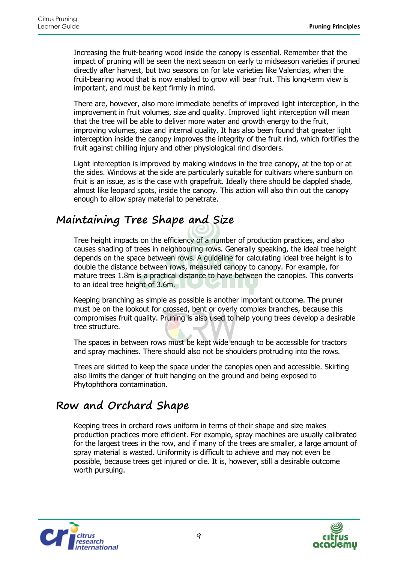Increasing the fruit-bearing wood inside the canopy is essential. Remember that the impact of pruning will be seen the next season on early to midseason varieties if pruned directly after harvest, but two seasons on for late varieties like Valencias, when the fruit-bearing wood that is now enabled to grow will bear fruit. This long-term view is important, and must be kept firmly in mind.

There are, however, also more immediate benefits of improved light interception, in the improvement in fruit volumes, size and quality. Improved light interception will mean that the tree will be able to deliver more water and growth energy to the fruit, improving volumes, size and internal quality. It has also been found that greater light interception inside the canopy improves the integrity of the fruit rind, which fortifies the fruit against chilling injury and other physiological rind disorders.

Light interception is improved by making windows in the tree canopy, at the top or at the sides. Windows at the side are particularly suitable for cultivars where sunburn on fruit is an issue, as is the case with grapefruit. Ideally there should be dappled shade, almost like leopard spots, inside the canopy. This action will also thin out the canopy enough to allow spray material to penetrate.

### <span id="page-8-0"></span>**Maintaining Tree Shape and Size**

Tree height impacts on the efficiency of a number of production practices, and also causes shading of trees in neighbouring rows. Generally speaking, the ideal tree height depends on the space between rows. A guideline for calculating ideal tree height is to double the distance between rows, measured canopy to canopy. For example, for mature trees 1.8m is a practical distance to have between the canopies. This converts to an ideal tree height of 3.6m.

Keeping branching as simple as possible is another important outcome. The pruner must be on the lookout for crossed, bent or overly complex branches, because this compromises fruit quality. Pruning is also used to help young trees develop a desirable tree structure.

The spaces in between rows must be kept wide enough to be accessible for tractors and spray machines. There should also not be shoulders protruding into the rows.

Trees are skirted to keep the space under the canopies open and accessible. Skirting also limits the danger of fruit hanging on the ground and being exposed to Phytophthora contamination.

### <span id="page-8-1"></span>**Row and Orchard Shape**

Keeping trees in orchard rows uniform in terms of their shape and size makes production practices more efficient. For example, spray machines are usually calibrated for the largest trees in the row, and if many of the trees are smaller, a large amount of spray material is wasted. Uniformity is difficult to achieve and may not even be possible, because trees get injured or die. It is, however, still a desirable outcome worth pursuing.



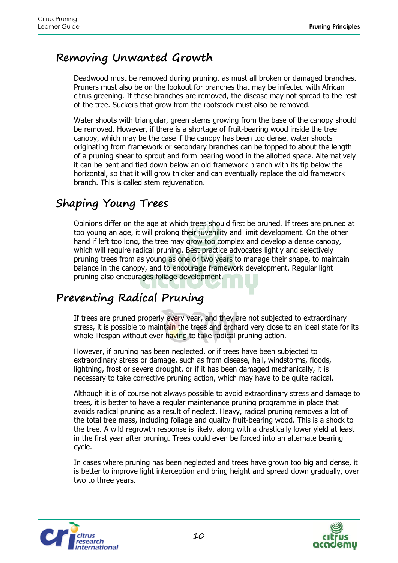### <span id="page-9-0"></span>**Removing Unwanted Growth**

Deadwood must be removed during pruning, as must all broken or damaged branches. Pruners must also be on the lookout for branches that may be infected with African citrus greening. If these branches are removed, the disease may not spread to the rest of the tree. Suckers that grow from the rootstock must also be removed.

Water shoots with triangular, green stems growing from the base of the canopy should be removed. However, if there is a shortage of fruit-bearing wood inside the tree canopy, which may be the case if the canopy has been too dense, water shoots originating from framework or secondary branches can be topped to about the length of a pruning shear to sprout and form bearing wood in the allotted space. Alternatively it can be bent and tied down below an old framework branch with its tip below the horizontal, so that it will grow thicker and can eventually replace the old framework branch. This is called stem rejuvenation.

### <span id="page-9-1"></span>**Shaping Young Trees**

Opinions differ on the age at which trees should first be pruned. If trees are pruned at too young an age, it will prolong their juvenility and limit development. On the other hand if left too long, the tree may grow too complex and develop a dense canopy, which will require radical pruning. Best practice advocates lightly and selectively pruning trees from as young as one or two years to manage their shape, to maintain balance in the canopy, and to encourage framework development. Regular light pruning also encourages foliage development.

### <span id="page-9-2"></span>**Preventing Radical Pruning**

If trees are pruned properly every year, and they are not subjected to extraordinary stress, it is possible to maintain the trees and orchard very close to an ideal state for its whole lifespan without ever having to take radical pruning action.

However, if pruning has been neglected, or if trees have been subjected to extraordinary stress or damage, such as from disease, hail, windstorms, floods, lightning, frost or severe drought, or if it has been damaged mechanically, it is necessary to take corrective pruning action, which may have to be quite radical.

Although it is of course not always possible to avoid extraordinary stress and damage to trees, it is better to have a regular maintenance pruning programme in place that avoids radical pruning as a result of neglect. Heavy, radical pruning removes a lot of the total tree mass, including foliage and quality fruit-bearing wood. This is a shock to the tree. A wild regrowth response is likely, along with a drastically lower yield at least in the first year after pruning. Trees could even be forced into an alternate bearing cycle.

In cases where pruning has been neglected and trees have grown too big and dense, it is better to improve light interception and bring height and spread down gradually, over two to three years.



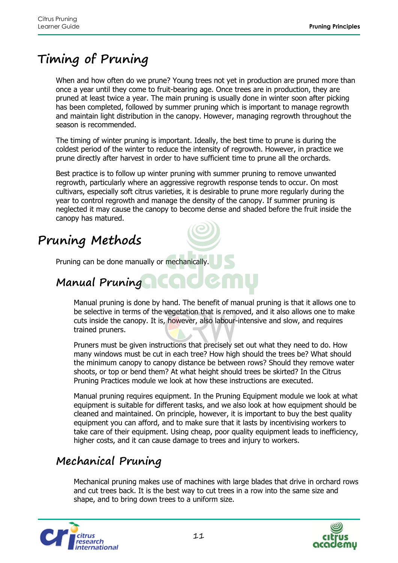## <span id="page-10-0"></span>**Timing of Pruning**

When and how often do we prune? Young trees not yet in production are pruned more than once a year until they come to fruit-bearing age. Once trees are in production, they are pruned at least twice a year. The main pruning is usually done in winter soon after picking has been completed, followed by summer pruning which is important to manage regrowth and maintain light distribution in the canopy. However, managing regrowth throughout the season is recommended.

The timing of winter pruning is important. Ideally, the best time to prune is during the coldest period of the winter to reduce the intensity of regrowth. However, in practice we prune directly after harvest in order to have sufficient time to prune all the orchards.

Best practice is to follow up winter pruning with summer pruning to remove unwanted regrowth, particularly where an aggressive regrowth response tends to occur. On most cultivars, especially soft citrus varieties, it is desirable to prune more regularly during the year to control regrowth and manage the density of the canopy. If summer pruning is neglected it may cause the canopy to become dense and shaded before the fruit inside the canopy has matured.

## <span id="page-10-1"></span>**Pruning Methods**

Pruning can be done manually or mechanically.

### <span id="page-10-2"></span>**Manual Pruning**

Manual pruning is done by hand. The benefit of manual pruning is that it allows one to be selective in terms of the vegetation that is removed, and it also allows one to make cuts inside the canopy. It is, however, also labour-intensive and slow, and requires trained pruners.

Pruners must be given instructions that precisely set out what they need to do. How many windows must be cut in each tree? How high should the trees be? What should the minimum canopy to canopy distance be between rows? Should they remove water shoots, or top or bend them? At what height should trees be skirted? In the Citrus Pruning Practices module we look at how these instructions are executed.

Manual pruning requires equipment. In the Pruning Equipment module we look at what equipment is suitable for different tasks, and we also look at how equipment should be cleaned and maintained. On principle, however, it is important to buy the best quality equipment you can afford, and to make sure that it lasts by incentivising workers to take care of their equipment. Using cheap, poor quality equipment leads to inefficiency, higher costs, and it can cause damage to trees and injury to workers.

### <span id="page-10-3"></span>**Mechanical Pruning**

Mechanical pruning makes use of machines with large blades that drive in orchard rows and cut trees back. It is the best way to cut trees in a row into the same size and shape, and to bring down trees to a uniform size.